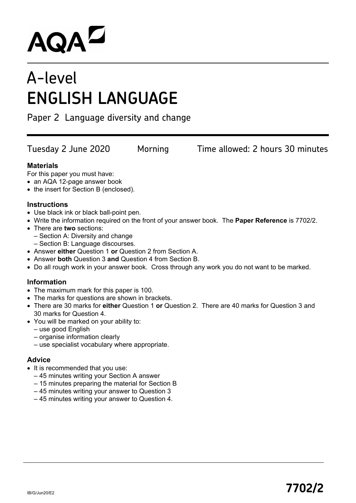# **AQAL**

# A-level **ENGLISH LANGUAGE**

Paper 2 Language diversity and change

Tuesday 2 June 2020 Morning Time allowed: 2 hours 30 minutes

# **Materials**

For this paper you must have:

- an AQA 12-page answer book
- the insert for Section B (enclosed).

# **Instructions**

- Use black ink or black ball-point pen.
- Write the information required on the front of your answer book. The **Paper Reference** is 7702/2.
- There are **two** sections:
	- Section A: Diversity and change
	- Section B: Language discourses.
- Answer **either** Question 1 **or** Question 2 from Section A.
- Answer **both** Question 3 **and** Question 4 from Section B.
- Do all rough work in your answer book. Cross through any work you do not want to be marked.

# **Information**

- The maximum mark for this paper is 100.
- The marks for questions are shown in brackets.
- There are 30 marks for **either** Question 1 **or** Question 2. There are 40 marks for Question 3 and 30 marks for Question 4.
- You will be marked on your ability to:
	- use good English
	- organise information clearly
	- use specialist vocabulary where appropriate.

# **Advice**

- It is recommended that you use:
	- 45 minutes writing your Section A answer
	- 15 minutes preparing the material for Section B
	- 45 minutes writing your answer to Question 3
	- 45 minutes writing your answer to Question 4.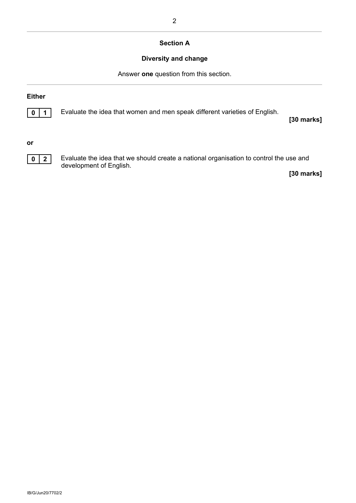## **Section A**

# **Diversity and change**

Answer **one** question from this section.

### **Either**



**0 1** Evaluate the idea that women and men speak different varieties of English.

**[30 marks]**

**or**



**0 2** Evaluate the idea that we should create a national organisation to control the use and development of English.

**[30 marks]**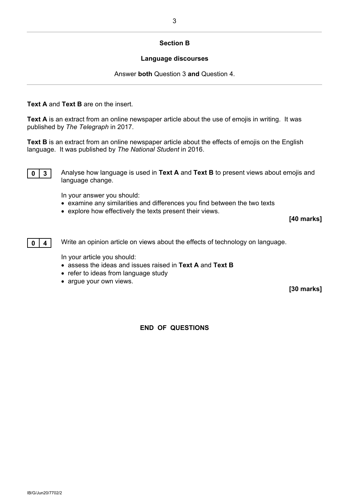#### **Section B**

#### **Language discourses**

Answer **both** Question 3 **and** Question 4.

### **Text A** and **Text B** are on the insert.

**Text A** is an extract from an online newspaper article about the use of emojis in writing. It was published by *The Telegraph* in 2017.

**Text B** is an extract from an online newspaper article about the effects of emojis on the English language. It was published by *The National Student* in 2016.



**0 3** Analyse how language is used in Text A and Text B to present views about emojis and language change.

In your answer you should:

- examine any similarities and differences you find between the two texts
- explore how effectively the texts present their views.

**[40 marks]**



**0 4 Write an opinion article on views about the effects of technology on language.** 

In your article you should:

- assess the ideas and issues raised in **Text A** and **Text B**
- refer to ideas from language study
- argue your own views.

**[30 marks]**

**END OF QUESTIONS**